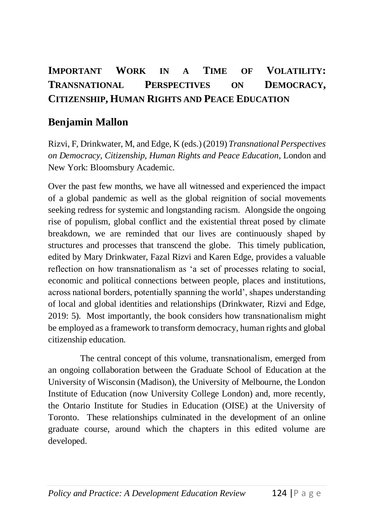## **IMPORTANT WORK IN A TIME OF VOLATILITY: TRANSNATIONAL PERSPECTIVES ON DEMOCRACY, CITIZENSHIP, HUMAN RIGHTS AND PEACE EDUCATION**

## **Benjamin Mallon**

Rizvi, F, Drinkwater, M, and Edge, K (eds.) (2019) *Transnational Perspectives on Democracy, Citizenship, Human Rights and Peace Education*, London and New York: Bloomsbury Academic.

Over the past few months, we have all witnessed and experienced the impact of a global pandemic as well as the global reignition of social movements seeking redress for systemic and longstanding racism. Alongside the ongoing rise of populism, global conflict and the existential threat posed by climate breakdown, we are reminded that our lives are continuously shaped by structures and processes that transcend the globe. This timely publication, edited by Mary Drinkwater, Fazal Rizvi and Karen Edge, provides a valuable reflection on how transnationalism as 'a set of processes relating to social, economic and political connections between people, places and institutions, across national borders, potentially spanning the world', shapes understanding of local and global identities and relationships (Drinkwater, Rizvi and Edge, 2019: 5). Most importantly, the book considers how transnationalism might be employed as a framework to transform democracy, human rights and global citizenship education.

The central concept of this volume, transnationalism, emerged from an ongoing collaboration between the Graduate School of Education at the University of Wisconsin (Madison), the University of Melbourne, the London Institute of Education (now University College London) and, more recently, the Ontario Institute for Studies in Education (OISE) at the University of Toronto. These relationships culminated in the development of an online graduate course, around which the chapters in this edited volume are developed.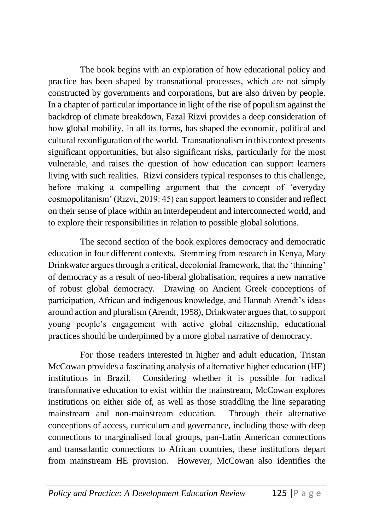The book begins with an exploration of how educational policy and practice has been shaped by transnational processes, which are not simply constructed by governments and corporations, but are also driven by people. In a chapter of particular importance in light of the rise of populism against the backdrop of climate breakdown, Fazal Rizvi provides a deep consideration of how global mobility, in all its forms, has shaped the economic, political and cultural reconfiguration of the world. Transnationalism in this context presents significant opportunities, but also significant risks, particularly for the most vulnerable, and raises the question of how education can support learners living with such realities. Rizvi considers typical responses to this challenge, before making a compelling argument that the concept of 'everyday cosmopolitanism' (Rizvi, 2019: 45) can support learners to consider and reflect on their sense of place within an interdependent and interconnected world, and to explore their responsibilities in relation to possible global solutions.

The second section of the book explores democracy and democratic education in four different contexts. Stemming from research in Kenya, Mary Drinkwater argues through a critical, decolonial framework, that the 'thinning' of democracy as a result of neo-liberal globalisation, requires a new narrative of robust global democracy. Drawing on Ancient Greek conceptions of participation, African and indigenous knowledge, and Hannah Arendt's ideas around action and pluralism (Arendt, 1958), Drinkwater argues that, to support young people's engagement with active global citizenship, educational practices should be underpinned by a more global narrative of democracy.

For those readers interested in higher and adult education, Tristan McCowan provides a fascinating analysis of alternative higher education (HE) institutions in Brazil. Considering whether it is possible for radical transformative education to exist within the mainstream, McCowan explores institutions on either side of, as well as those straddling the line separating mainstream and non-mainstream education. Through their alternative conceptions of access, curriculum and governance, including those with deep connections to marginalised local groups, pan-Latin American connections and transatlantic connections to African countries, these institutions depart from mainstream HE provision. However, McCowan also identifies the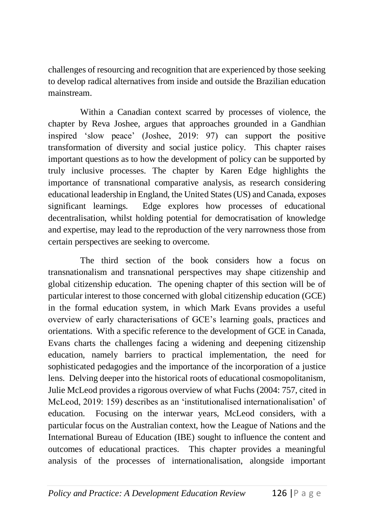challenges of resourcing and recognition that are experienced by those seeking to develop radical alternatives from inside and outside the Brazilian education mainstream.

Within a Canadian context scarred by processes of violence, the chapter by Reva Joshee, argues that approaches grounded in a Gandhian inspired 'slow peace' (Joshee, 2019: 97) can support the positive transformation of diversity and social justice policy. This chapter raises important questions as to how the development of policy can be supported by truly inclusive processes. The chapter by Karen Edge highlights the importance of transnational comparative analysis, as research considering educational leadership in England, the United States (US) and Canada, exposes significant learnings. Edge explores how processes of educational decentralisation, whilst holding potential for democratisation of knowledge and expertise, may lead to the reproduction of the very narrowness those from certain perspectives are seeking to overcome.

The third section of the book considers how a focus on transnationalism and transnational perspectives may shape citizenship and global citizenship education. The opening chapter of this section will be of particular interest to those concerned with global citizenship education (GCE) in the formal education system, in which Mark Evans provides a useful overview of early characterisations of GCE's learning goals, practices and orientations. With a specific reference to the development of GCE in Canada, Evans charts the challenges facing a widening and deepening citizenship education, namely barriers to practical implementation, the need for sophisticated pedagogies and the importance of the incorporation of a justice lens. Delving deeper into the historical roots of educational cosmopolitanism, Julie McLeod provides a rigorous overview of what Fuchs (2004: 757, cited in McLeod, 2019: 159) describes as an 'institutionalised internationalisation' of education. Focusing on the interwar years, McLeod considers, with a particular focus on the Australian context, how the League of Nations and the International Bureau of Education (IBE) sought to influence the content and outcomes of educational practices. This chapter provides a meaningful analysis of the processes of internationalisation, alongside important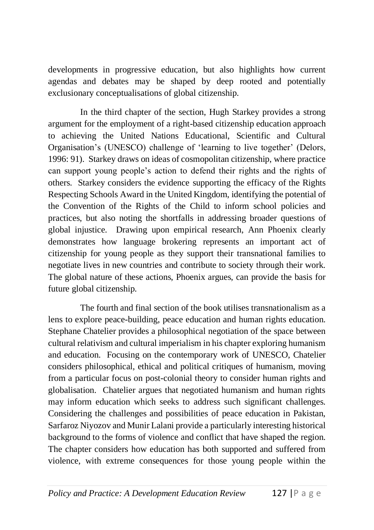developments in progressive education, but also highlights how current agendas and debates may be shaped by deep rooted and potentially exclusionary conceptualisations of global citizenship.

In the third chapter of the section, Hugh Starkey provides a strong argument for the employment of a right-based citizenship education approach to achieving the United Nations Educational, Scientific and Cultural Organisation's (UNESCO) challenge of 'learning to live together' (Delors, 1996: 91). Starkey draws on ideas of cosmopolitan citizenship, where practice can support young people's action to defend their rights and the rights of others. Starkey considers the evidence supporting the efficacy of the Rights Respecting Schools Award in the United Kingdom, identifying the potential of the Convention of the Rights of the Child to inform school policies and practices, but also noting the shortfalls in addressing broader questions of global injustice. Drawing upon empirical research, Ann Phoenix clearly demonstrates how language brokering represents an important act of citizenship for young people as they support their transnational families to negotiate lives in new countries and contribute to society through their work. The global nature of these actions, Phoenix argues, can provide the basis for future global citizenship.

The fourth and final section of the book utilises transnationalism as a lens to explore peace-building, peace education and human rights education. Stephane Chatelier provides a philosophical negotiation of the space between cultural relativism and cultural imperialism in his chapter exploring humanism and education. Focusing on the contemporary work of UNESCO, Chatelier considers philosophical, ethical and political critiques of humanism, moving from a particular focus on post-colonial theory to consider human rights and globalisation. Chatelier argues that negotiated humanism and human rights may inform education which seeks to address such significant challenges. Considering the challenges and possibilities of peace education in Pakistan, Sarfaroz Niyozov and Munir Lalani provide a particularly interesting historical background to the forms of violence and conflict that have shaped the region. The chapter considers how education has both supported and suffered from violence, with extreme consequences for those young people within the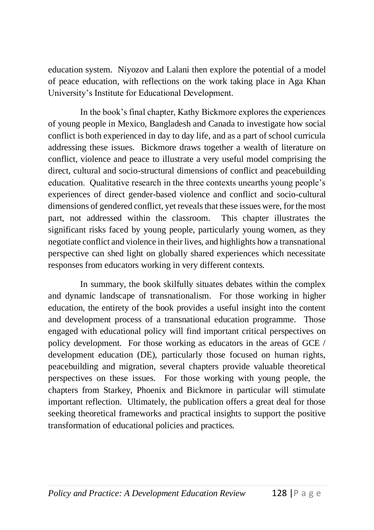education system. Niyozov and Lalani then explore the potential of a model of peace education, with reflections on the work taking place in Aga Khan University's Institute for Educational Development.

In the book's final chapter, Kathy Bickmore explores the experiences of young people in Mexico, Bangladesh and Canada to investigate how social conflict is both experienced in day to day life, and as a part of school curricula addressing these issues. Bickmore draws together a wealth of literature on conflict, violence and peace to illustrate a very useful model comprising the direct, cultural and socio-structural dimensions of conflict and peacebuilding education. Qualitative research in the three contexts unearths young people's experiences of direct gender-based violence and conflict and socio-cultural dimensions of gendered conflict, yet reveals that these issues were, for the most part, not addressed within the classroom. This chapter illustrates the significant risks faced by young people, particularly young women, as they negotiate conflict and violence in their lives, and highlights how a transnational perspective can shed light on globally shared experiences which necessitate responses from educators working in very different contexts.

In summary, the book skilfully situates debates within the complex and dynamic landscape of transnationalism. For those working in higher education, the entirety of the book provides a useful insight into the content and development process of a transnational education programme. Those engaged with educational policy will find important critical perspectives on policy development. For those working as educators in the areas of GCE / development education (DE), particularly those focused on human rights, peacebuilding and migration, several chapters provide valuable theoretical perspectives on these issues. For those working with young people, the chapters from Starkey, Phoenix and Bickmore in particular will stimulate important reflection. Ultimately, the publication offers a great deal for those seeking theoretical frameworks and practical insights to support the positive transformation of educational policies and practices.